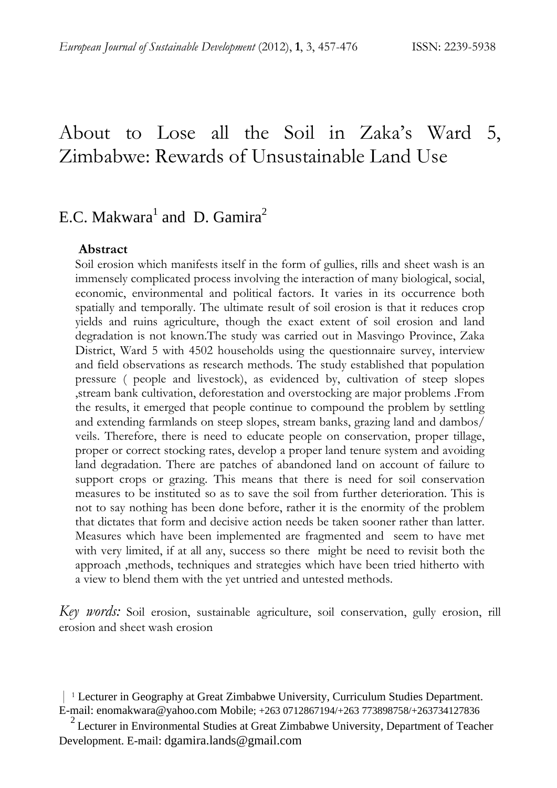# About to Lose all the Soil in Zaka's Ward 5, Zimbabwe: Rewards of Unsustainable Land Use

# E.C. Makwara<sup>1</sup> and D. Gamira<sup>2</sup>

#### **Abstract**

Soil erosion which manifests itself in the form of gullies, rills and sheet wash is an immensely complicated process involving the interaction of many biological, social, economic, environmental and political factors. It varies in its occurrence both spatially and temporally. The ultimate result of soil erosion is that it reduces crop yields and ruins agriculture, though the exact extent of soil erosion and land degradation is not known.The study was carried out in Masvingo Province, Zaka District, Ward 5 with 4502 households using the questionnaire survey, interview and field observations as research methods. The study established that population pressure ( people and livestock), as evidenced by, cultivation of steep slopes ,stream bank cultivation, deforestation and overstocking are major problems .From the results, it emerged that people continue to compound the problem by settling and extending farmlands on steep slopes, stream banks, grazing land and dambos/ veils. Therefore, there is need to educate people on conservation, proper tillage, proper or correct stocking rates, develop a proper land tenure system and avoiding land degradation. There are patches of abandoned land on account of failure to support crops or grazing. This means that there is need for soil conservation measures to be instituted so as to save the soil from further deterioration. This is not to say nothing has been done before, rather it is the enormity of the problem that dictates that form and decisive action needs be taken sooner rather than latter. Measures which have been implemented are fragmented and seem to have met with very limited, if at all any, success so there might be need to revisit both the approach ,methods, techniques and strategies which have been tried hitherto with a view to blend them with the yet untried and untested methods.

*Key words:* Soil erosion, sustainable agriculture, soil conservation, gully erosion, rill erosion and sheet wash erosion

 <sup>|</sup> <sup>1</sup> Lecturer in Geography at Great Zimbabwe University, Curriculum Studies Department. E-mail: enomakwara@yahoo.com Mobile; +263 0712867194/+263 773898758/+263734127836

 $2$  Lecturer in Environmental Studies at Great Zimbabwe University, Department of Teacher Development. E-mail: dgamira.lands@gmail.com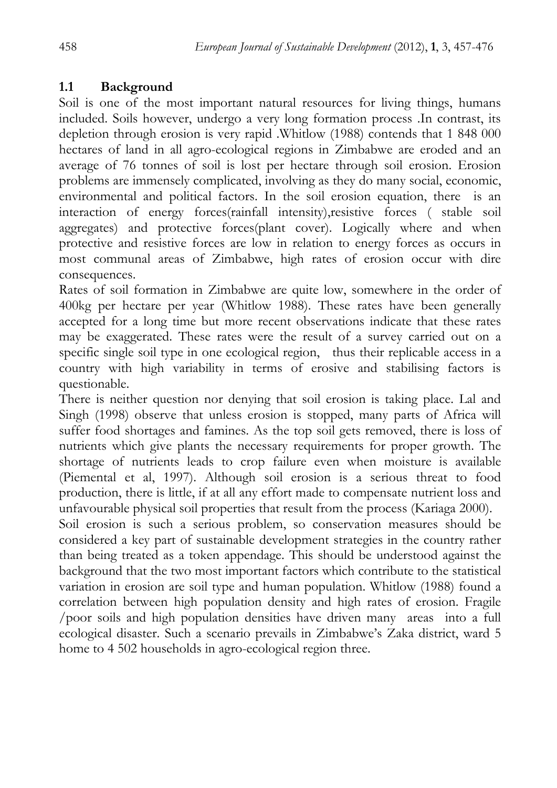## **1.1 Background**

Soil is one of the most important natural resources for living things, humans included. Soils however, undergo a very long formation process .In contrast, its depletion through erosion is very rapid .Whitlow (1988) contends that 1 848 000 hectares of land in all agro-ecological regions in Zimbabwe are eroded and an average of 76 tonnes of soil is lost per hectare through soil erosion. Erosion problems are immensely complicated, involving as they do many social, economic, environmental and political factors. In the soil erosion equation, there is an interaction of energy forces(rainfall intensity),resistive forces ( stable soil aggregates) and protective forces(plant cover). Logically where and when protective and resistive forces are low in relation to energy forces as occurs in most communal areas of Zimbabwe, high rates of erosion occur with dire consequences.

Rates of soil formation in Zimbabwe are quite low, somewhere in the order of 400kg per hectare per year (Whitlow 1988). These rates have been generally accepted for a long time but more recent observations indicate that these rates may be exaggerated. These rates were the result of a survey carried out on a specific single soil type in one ecological region, thus their replicable access in a country with high variability in terms of erosive and stabilising factors is questionable.

There is neither question nor denying that soil erosion is taking place. Lal and Singh (1998) observe that unless erosion is stopped, many parts of Africa will suffer food shortages and famines. As the top soil gets removed, there is loss of nutrients which give plants the necessary requirements for proper growth. The shortage of nutrients leads to crop failure even when moisture is available (Piemental et al, 1997). Although soil erosion is a serious threat to food production, there is little, if at all any effort made to compensate nutrient loss and unfavourable physical soil properties that result from the process (Kariaga 2000).

Soil erosion is such a serious problem, so conservation measures should be considered a key part of sustainable development strategies in the country rather than being treated as a token appendage. This should be understood against the background that the two most important factors which contribute to the statistical variation in erosion are soil type and human population. Whitlow (1988) found a correlation between high population density and high rates of erosion. Fragile /poor soils and high population densities have driven many areas into a full ecological disaster. Such a scenario prevails in Zimbabwe's Zaka district, ward 5 home to 4 502 households in agro-ecological region three.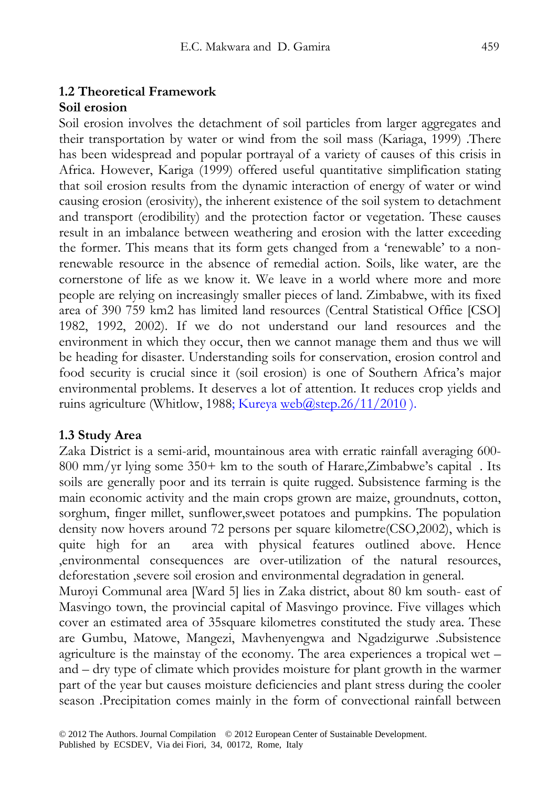# **1.2 Theoretical Framework**

### **Soil erosion**

Soil erosion involves the detachment of soil particles from larger aggregates and their transportation by water or wind from the soil mass (Kariaga, 1999) .There has been widespread and popular portrayal of a variety of causes of this crisis in Africa. However, Kariga (1999) offered useful quantitative simplification stating that soil erosion results from the dynamic interaction of energy of water or wind causing erosion (erosivity), the inherent existence of the soil system to detachment and transport (erodibility) and the protection factor or vegetation. These causes result in an imbalance between weathering and erosion with the latter exceeding the former. This means that its form gets changed from a 'renewable' to a nonrenewable resource in the absence of remedial action. Soils, like water, are the cornerstone of life as we know it. We leave in a world where more and more people are relying on increasingly smaller pieces of land. Zimbabwe, with its fixed area of 390 759 km2 has limited land resources (Central Statistical Office [CSO] 1982, 1992, 2002). If we do not understand our land resources and the environment in which they occur, then we cannot manage them and thus we will be heading for disaster. Understanding soils for conservation, erosion control and food security is crucial since it (soil erosion) is one of Southern Africa's major environmental problems. It deserves a lot of attention. It reduces crop yields and ruins agriculture (Whitlow, 1988; Kureya web $\omega$ step.26/11/2010).

### **1.3 Study Area**

Zaka District is a semi-arid, mountainous area with erratic rainfall averaging 600- 800 mm/yr lying some 350+ km to the south of Harare,Zimbabwe's capital . Its soils are generally poor and its terrain is quite rugged. Subsistence farming is the main economic activity and the main crops grown are maize, groundnuts, cotton, sorghum, finger millet, sunflower,sweet potatoes and pumpkins. The population density now hovers around 72 persons per square kilometre(CSO,2002), which is quite high for an area with physical features outlined above. Hence ,environmental consequences are over-utilization of the natural resources, deforestation ,severe soil erosion and environmental degradation in general.

Muroyi Communal area [Ward 5] lies in Zaka district, about 80 km south- east of Masvingo town, the provincial capital of Masvingo province. Five villages which cover an estimated area of 35square kilometres constituted the study area. These are Gumbu, Matowe, Mangezi, Mavhenyengwa and Ngadzigurwe .Subsistence agriculture is the mainstay of the economy. The area experiences a tropical wet – and – dry type of climate which provides moisture for plant growth in the warmer part of the year but causes moisture deficiencies and plant stress during the cooler season .Precipitation comes mainly in the form of convectional rainfall between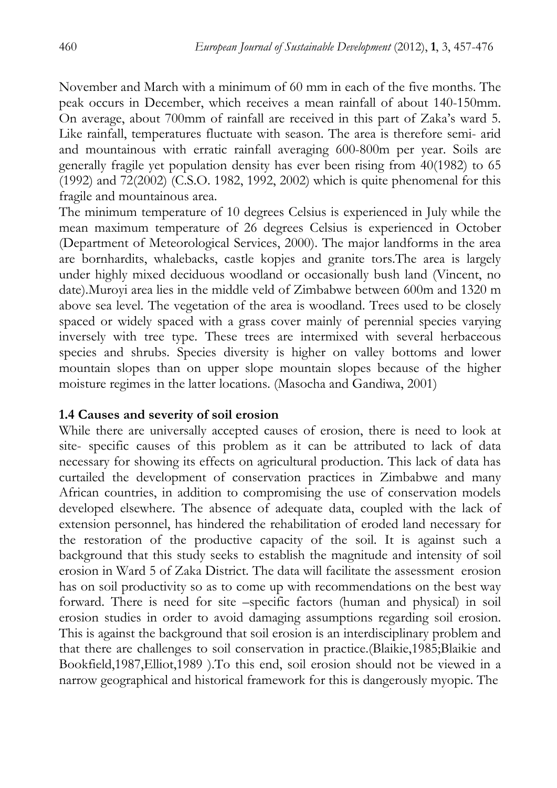November and March with a minimum of 60 mm in each of the five months. The peak occurs in December, which receives a mean rainfall of about 140-150mm. On average, about 700mm of rainfall are received in this part of Zaka's ward 5. Like rainfall, temperatures fluctuate with season. The area is therefore semi- arid and mountainous with erratic rainfall averaging 600-800m per year. Soils are generally fragile yet population density has ever been rising from 40(1982) to 65 (1992) and 72(2002) (C.S.O. 1982, 1992, 2002) which is quite phenomenal for this fragile and mountainous area.

The minimum temperature of 10 degrees Celsius is experienced in July while the mean maximum temperature of 26 degrees Celsius is experienced in October (Department of Meteorological Services, 2000). The major landforms in the area are bornhardits, whalebacks, castle kopjes and granite tors.The area is largely under highly mixed deciduous woodland or occasionally bush land (Vincent, no date).Muroyi area lies in the middle veld of Zimbabwe between 600m and 1320 m above sea level. The vegetation of the area is woodland. Trees used to be closely spaced or widely spaced with a grass cover mainly of perennial species varying inversely with tree type. These trees are intermixed with several herbaceous species and shrubs. Species diversity is higher on valley bottoms and lower mountain slopes than on upper slope mountain slopes because of the higher moisture regimes in the latter locations. (Masocha and Gandiwa, 2001)

#### **1.4 Causes and severity of soil erosion**

While there are universally accepted causes of erosion, there is need to look at site- specific causes of this problem as it can be attributed to lack of data necessary for showing its effects on agricultural production. This lack of data has curtailed the development of conservation practices in Zimbabwe and many African countries, in addition to compromising the use of conservation models developed elsewhere. The absence of adequate data, coupled with the lack of extension personnel, has hindered the rehabilitation of eroded land necessary for the restoration of the productive capacity of the soil. It is against such a background that this study seeks to establish the magnitude and intensity of soil erosion in Ward 5 of Zaka District. The data will facilitate the assessment erosion has on soil productivity so as to come up with recommendations on the best way forward. There is need for site –specific factors (human and physical) in soil erosion studies in order to avoid damaging assumptions regarding soil erosion. This is against the background that soil erosion is an interdisciplinary problem and that there are challenges to soil conservation in practice.(Blaikie,1985;Blaikie and Bookfield,1987,Elliot,1989 ).To this end, soil erosion should not be viewed in a narrow geographical and historical framework for this is dangerously myopic. The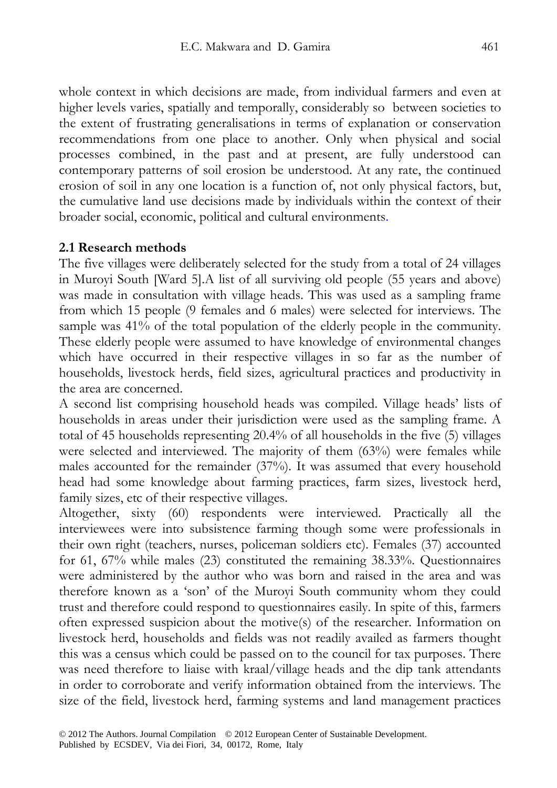whole context in which decisions are made, from individual farmers and even at higher levels varies, spatially and temporally, considerably so between societies to the extent of frustrating generalisations in terms of explanation or conservation recommendations from one place to another. Only when physical and social processes combined, in the past and at present, are fully understood can contemporary patterns of soil erosion be understood. At any rate, the continued erosion of soil in any one location is a function of, not only physical factors, but, the cumulative land use decisions made by individuals within the context of their broader social, economic, political and cultural environments.

#### **2.1 Research methods**

The five villages were deliberately selected for the study from a total of 24 villages in Muroyi South [Ward 5].A list of all surviving old people (55 years and above) was made in consultation with village heads. This was used as a sampling frame from which 15 people (9 females and 6 males) were selected for interviews. The sample was 41% of the total population of the elderly people in the community. These elderly people were assumed to have knowledge of environmental changes which have occurred in their respective villages in so far as the number of households, livestock herds, field sizes, agricultural practices and productivity in the area are concerned.

A second list comprising household heads was compiled. Village heads' lists of households in areas under their jurisdiction were used as the sampling frame. A total of 45 households representing 20.4% of all households in the five (5) villages were selected and interviewed. The majority of them (63%) were females while males accounted for the remainder (37%). It was assumed that every household head had some knowledge about farming practices, farm sizes, livestock herd, family sizes, etc of their respective villages.

Altogether, sixty (60) respondents were interviewed. Practically all the interviewees were into subsistence farming though some were professionals in their own right (teachers, nurses, policeman soldiers etc). Females (37) accounted for 61, 67% while males (23) constituted the remaining 38.33%. Questionnaires were administered by the author who was born and raised in the area and was therefore known as a 'son' of the Muroyi South community whom they could trust and therefore could respond to questionnaires easily. In spite of this, farmers often expressed suspicion about the motive(s) of the researcher. Information on livestock herd, households and fields was not readily availed as farmers thought this was a census which could be passed on to the council for tax purposes. There was need therefore to liaise with kraal/village heads and the dip tank attendants in order to corroborate and verify information obtained from the interviews. The size of the field, livestock herd, farming systems and land management practices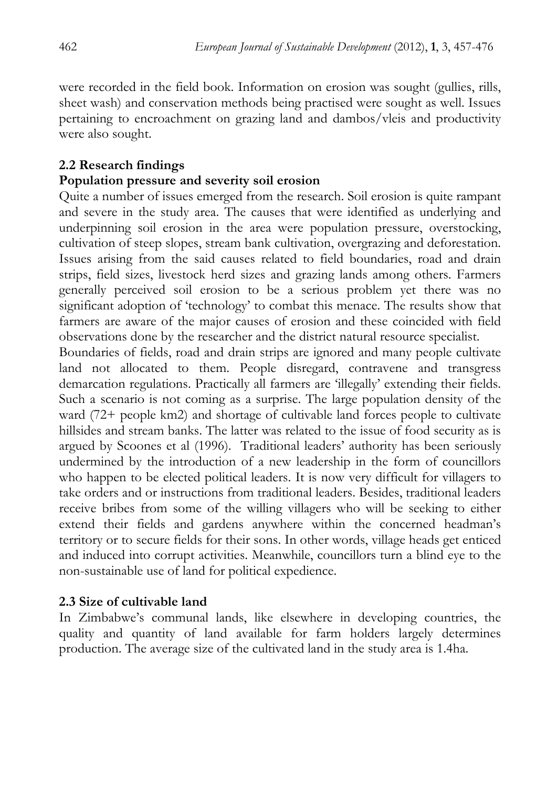were recorded in the field book. Information on erosion was sought (gullies, rills, sheet wash) and conservation methods being practised were sought as well. Issues pertaining to encroachment on grazing land and dambos/vleis and productivity were also sought.

## **2.2 Research findings**

### **Population pressure and severity soil erosion**

Quite a number of issues emerged from the research. Soil erosion is quite rampant and severe in the study area. The causes that were identified as underlying and underpinning soil erosion in the area were population pressure, overstocking, cultivation of steep slopes, stream bank cultivation, overgrazing and deforestation. Issues arising from the said causes related to field boundaries, road and drain strips, field sizes, livestock herd sizes and grazing lands among others. Farmers generally perceived soil erosion to be a serious problem yet there was no significant adoption of 'technology' to combat this menace. The results show that farmers are aware of the major causes of erosion and these coincided with field observations done by the researcher and the district natural resource specialist.

Boundaries of fields, road and drain strips are ignored and many people cultivate land not allocated to them. People disregard, contravene and transgress demarcation regulations. Practically all farmers are 'illegally' extending their fields. Such a scenario is not coming as a surprise. The large population density of the ward (72+ people km2) and shortage of cultivable land forces people to cultivate hillsides and stream banks. The latter was related to the issue of food security as is argued by Scoones et al (1996). Traditional leaders' authority has been seriously undermined by the introduction of a new leadership in the form of councillors who happen to be elected political leaders. It is now very difficult for villagers to take orders and or instructions from traditional leaders. Besides, traditional leaders receive bribes from some of the willing villagers who will be seeking to either extend their fields and gardens anywhere within the concerned headman's territory or to secure fields for their sons. In other words, village heads get enticed and induced into corrupt activities. Meanwhile, councillors turn a blind eye to the non-sustainable use of land for political expedience.

## **2.3 Size of cultivable land**

In Zimbabwe's communal lands, like elsewhere in developing countries, the quality and quantity of land available for farm holders largely determines production. The average size of the cultivated land in the study area is 1.4ha.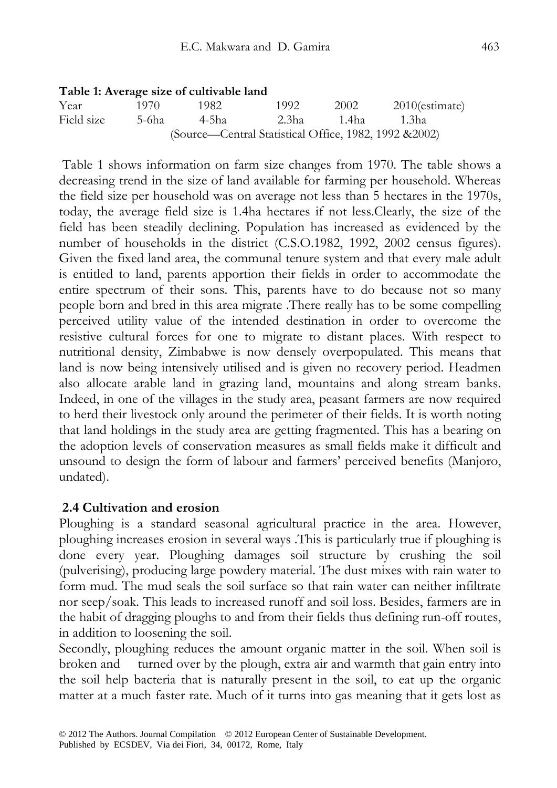#### **Table 1: Average size of cultivable land**

| Year       | 1970. | 1982                                                   | 1992  | 2002      | $2010$ (estimate) |
|------------|-------|--------------------------------------------------------|-------|-----------|-------------------|
| Field size | 5-6ha | -4-5ha                                                 | 2.3ha | - 1.4ha - | - 1.3ha           |
|            |       | (Source—Central Statistical Office, 1982, 1992 & 2002) |       |           |                   |

 Table 1 shows information on farm size changes from 1970. The table shows a decreasing trend in the size of land available for farming per household. Whereas the field size per household was on average not less than 5 hectares in the 1970s, today, the average field size is 1.4ha hectares if not less.Clearly, the size of the field has been steadily declining. Population has increased as evidenced by the number of households in the district (C.S.O.1982, 1992, 2002 census figures). Given the fixed land area, the communal tenure system and that every male adult is entitled to land, parents apportion their fields in order to accommodate the entire spectrum of their sons. This, parents have to do because not so many people born and bred in this area migrate .There really has to be some compelling perceived utility value of the intended destination in order to overcome the resistive cultural forces for one to migrate to distant places. With respect to nutritional density, Zimbabwe is now densely overpopulated. This means that land is now being intensively utilised and is given no recovery period. Headmen also allocate arable land in grazing land, mountains and along stream banks. Indeed, in one of the villages in the study area, peasant farmers are now required to herd their livestock only around the perimeter of their fields. It is worth noting that land holdings in the study area are getting fragmented. This has a bearing on the adoption levels of conservation measures as small fields make it difficult and unsound to design the form of labour and farmers' perceived benefits (Manjoro, undated).

#### **2.4 Cultivation and erosion**

Ploughing is a standard seasonal agricultural practice in the area. However, ploughing increases erosion in several ways .This is particularly true if ploughing is done every year. Ploughing damages soil structure by crushing the soil (pulverising), producing large powdery material. The dust mixes with rain water to form mud. The mud seals the soil surface so that rain water can neither infiltrate nor seep/soak. This leads to increased runoff and soil loss. Besides, farmers are in the habit of dragging ploughs to and from their fields thus defining run-off routes, in addition to loosening the soil.

Secondly, ploughing reduces the amount organic matter in the soil. When soil is broken and turned over by the plough, extra air and warmth that gain entry into the soil help bacteria that is naturally present in the soil, to eat up the organic matter at a much faster rate. Much of it turns into gas meaning that it gets lost as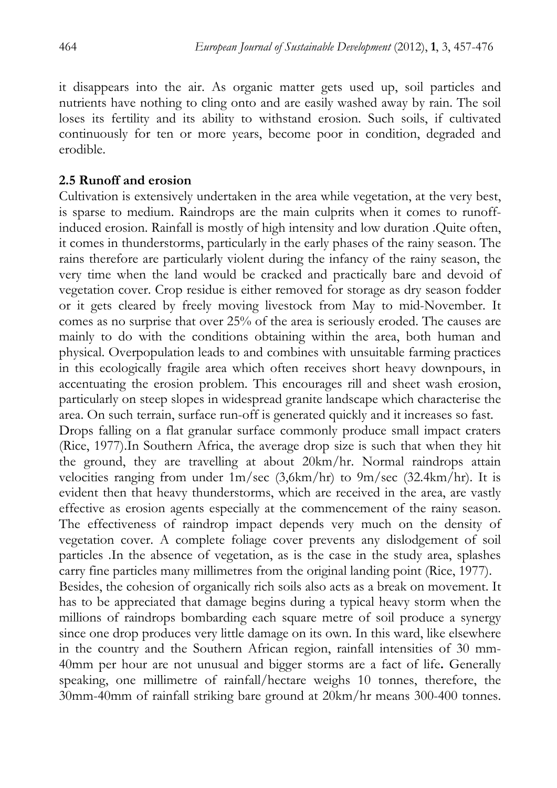it disappears into the air. As organic matter gets used up, soil particles and nutrients have nothing to cling onto and are easily washed away by rain. The soil loses its fertility and its ability to withstand erosion. Such soils, if cultivated continuously for ten or more years, become poor in condition, degraded and erodible.

#### **2.5 Runoff and erosion**

Cultivation is extensively undertaken in the area while vegetation, at the very best, is sparse to medium. Raindrops are the main culprits when it comes to runoffinduced erosion. Rainfall is mostly of high intensity and low duration .Quite often, it comes in thunderstorms, particularly in the early phases of the rainy season. The rains therefore are particularly violent during the infancy of the rainy season, the very time when the land would be cracked and practically bare and devoid of vegetation cover. Crop residue is either removed for storage as dry season fodder or it gets cleared by freely moving livestock from May to mid-November. It comes as no surprise that over 25% of the area is seriously eroded. The causes are mainly to do with the conditions obtaining within the area, both human and physical. Overpopulation leads to and combines with unsuitable farming practices in this ecologically fragile area which often receives short heavy downpours, in accentuating the erosion problem. This encourages rill and sheet wash erosion, particularly on steep slopes in widespread granite landscape which characterise the area. On such terrain, surface run-off is generated quickly and it increases so fast.

Drops falling on a flat granular surface commonly produce small impact craters (Rice, 1977).In Southern Africa, the average drop size is such that when they hit the ground, they are travelling at about 20km/hr. Normal raindrops attain velocities ranging from under  $1m/sec$  (3,6km/hr) to  $9m/sec$  (32.4km/hr). It is evident then that heavy thunderstorms, which are received in the area, are vastly effective as erosion agents especially at the commencement of the rainy season. The effectiveness of raindrop impact depends very much on the density of vegetation cover. A complete foliage cover prevents any dislodgement of soil particles .In the absence of vegetation, as is the case in the study area, splashes carry fine particles many millimetres from the original landing point (Rice, 1977).

Besides, the cohesion of organically rich soils also acts as a break on movement. It has to be appreciated that damage begins during a typical heavy storm when the millions of raindrops bombarding each square metre of soil produce a synergy since one drop produces very little damage on its own. In this ward, like elsewhere in the country and the Southern African region, rainfall intensities of 30 mm-40mm per hour are not unusual and bigger storms are a fact of life**.** Generally speaking, one millimetre of rainfall/hectare weighs 10 tonnes, therefore, the 30mm-40mm of rainfall striking bare ground at 20km/hr means 300-400 tonnes.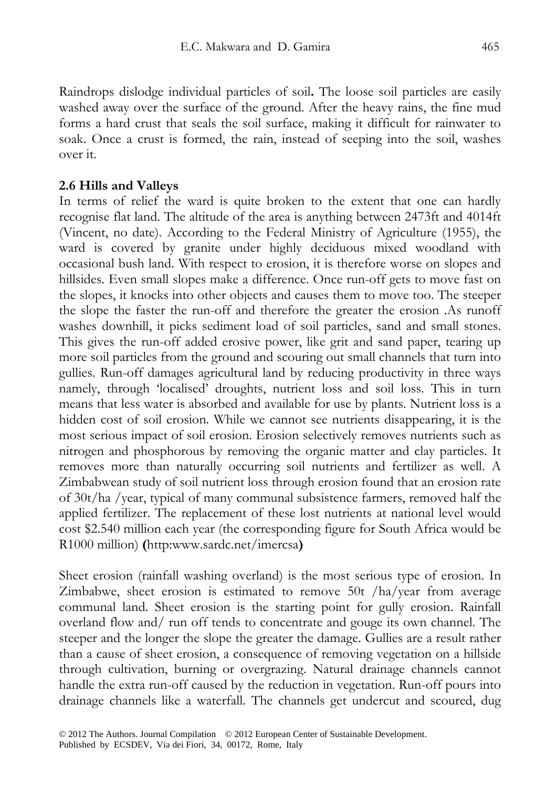Raindrops dislodge individual particles of soil**.** The loose soil particles are easily washed away over the surface of the ground. After the heavy rains, the fine mud forms a hard crust that seals the soil surface, making it difficult for rainwater to soak. Once a crust is formed, the rain, instead of seeping into the soil, washes over it.

#### **2.6 Hills and Valleys**

In terms of relief the ward is quite broken to the extent that one can hardly recognise flat land. The altitude of the area is anything between 2473ft and 4014ft (Vincent, no date). According to the Federal Ministry of Agriculture (1955), the ward is covered by granite under highly deciduous mixed woodland with occasional bush land. With respect to erosion, it is therefore worse on slopes and hillsides. Even small slopes make a difference. Once run-off gets to move fast on the slopes, it knocks into other objects and causes them to move too. The steeper the slope the faster the run-off and therefore the greater the erosion .As runoff washes downhill, it picks sediment load of soil particles, sand and small stones. This gives the run-off added erosive power, like grit and sand paper, tearing up more soil particles from the ground and scouring out small channels that turn into gullies. Run-off damages agricultural land by reducing productivity in three ways namely, through 'localised' droughts, nutrient loss and soil loss. This in turn means that less water is absorbed and available for use by plants. Nutrient loss is a hidden cost of soil erosion. While we cannot see nutrients disappearing, it is the most serious impact of soil erosion. Erosion selectively removes nutrients such as nitrogen and phosphorous by removing the organic matter and clay particles. It removes more than naturally occurring soil nutrients and fertilizer as well. A Zimbabwean study of soil nutrient loss through erosion found that an erosion rate of 30t/ha /year, typical of many communal subsistence farmers, removed half the applied fertilizer. The replacement of these lost nutrients at national level would cost \$2.540 million each year (the corresponding figure for South Africa would be R1000 million) **(**http:www.sardc.net/imercsa**)**

Sheet erosion (rainfall washing overland) is the most serious type of erosion. In Zimbabwe, sheet erosion is estimated to remove 50t /ha/year from average communal land. Sheet erosion is the starting point for gully erosion. Rainfall overland flow and/ run off tends to concentrate and gouge its own channel. The steeper and the longer the slope the greater the damage. Gullies are a result rather than a cause of sheet erosion, a consequence of removing vegetation on a hillside through cultivation, burning or overgrazing. Natural drainage channels cannot handle the extra run-off caused by the reduction in vegetation. Run-off pours into drainage channels like a waterfall. The channels get undercut and scoured, dug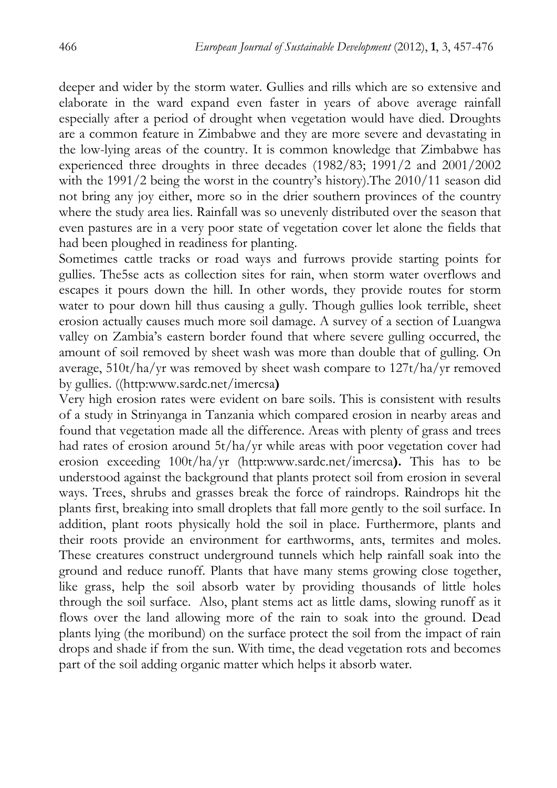deeper and wider by the storm water. Gullies and rills which are so extensive and elaborate in the ward expand even faster in years of above average rainfall especially after a period of drought when vegetation would have died. Droughts are a common feature in Zimbabwe and they are more severe and devastating in the low-lying areas of the country. It is common knowledge that Zimbabwe has experienced three droughts in three decades (1982/83; 1991/2 and 2001/2002 with the 1991/2 being the worst in the country's history).The 2010/11 season did not bring any joy either, more so in the drier southern provinces of the country where the study area lies. Rainfall was so unevenly distributed over the season that even pastures are in a very poor state of vegetation cover let alone the fields that had been ploughed in readiness for planting.

Sometimes cattle tracks or road ways and furrows provide starting points for gullies. The5se acts as collection sites for rain, when storm water overflows and escapes it pours down the hill. In other words, they provide routes for storm water to pour down hill thus causing a gully. Though gullies look terrible, sheet erosion actually causes much more soil damage. A survey of a section of Luangwa valley on Zambia's eastern border found that where severe gulling occurred, the amount of soil removed by sheet wash was more than double that of gulling. On average, 510t/ha/yr was removed by sheet wash compare to 127t/ha/yr removed by gullies. ((http:www.sardc.net/imercsa**)**

Very high erosion rates were evident on bare soils. This is consistent with results of a study in Strinyanga in Tanzania which compared erosion in nearby areas and found that vegetation made all the difference. Areas with plenty of grass and trees had rates of erosion around 5t/ha/yr while areas with poor vegetation cover had erosion exceeding 100t/ha/yr (http:www.sardc.net/imercsa**).** This has to be understood against the background that plants protect soil from erosion in several ways. Trees, shrubs and grasses break the force of raindrops. Raindrops hit the plants first, breaking into small droplets that fall more gently to the soil surface. In addition, plant roots physically hold the soil in place. Furthermore, plants and their roots provide an environment for earthworms, ants, termites and moles. These creatures construct underground tunnels which help rainfall soak into the ground and reduce runoff. Plants that have many stems growing close together, like grass, help the soil absorb water by providing thousands of little holes through the soil surface. Also, plant stems act as little dams, slowing runoff as it flows over the land allowing more of the rain to soak into the ground. Dead plants lying (the moribund) on the surface protect the soil from the impact of rain drops and shade if from the sun. With time, the dead vegetation rots and becomes part of the soil adding organic matter which helps it absorb water.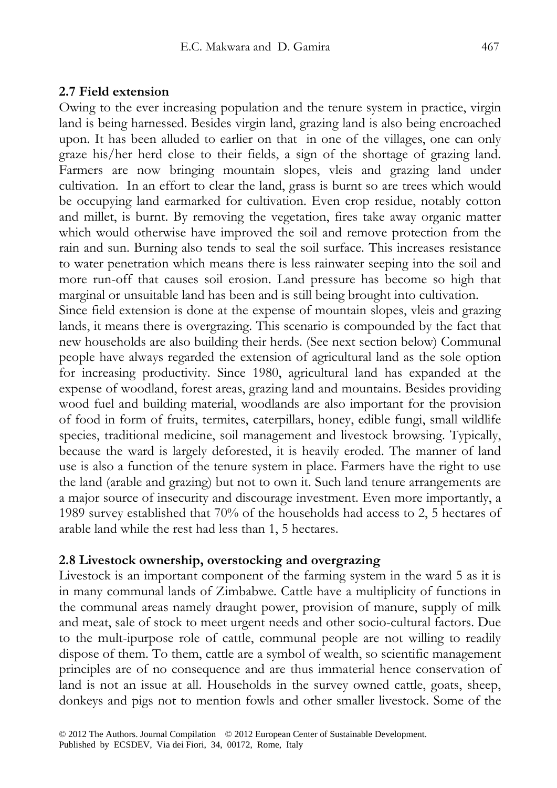#### **2.7 Field extension**

Owing to the ever increasing population and the tenure system in practice, virgin land is being harnessed. Besides virgin land, grazing land is also being encroached upon. It has been alluded to earlier on that in one of the villages, one can only graze his/her herd close to their fields, a sign of the shortage of grazing land. Farmers are now bringing mountain slopes, vleis and grazing land under cultivation. In an effort to clear the land, grass is burnt so are trees which would be occupying land earmarked for cultivation. Even crop residue, notably cotton and millet, is burnt. By removing the vegetation, fires take away organic matter which would otherwise have improved the soil and remove protection from the rain and sun. Burning also tends to seal the soil surface. This increases resistance to water penetration which means there is less rainwater seeping into the soil and more run-off that causes soil erosion. Land pressure has become so high that marginal or unsuitable land has been and is still being brought into cultivation.

Since field extension is done at the expense of mountain slopes, vleis and grazing lands, it means there is overgrazing. This scenario is compounded by the fact that new households are also building their herds. (See next section below) Communal people have always regarded the extension of agricultural land as the sole option for increasing productivity. Since 1980, agricultural land has expanded at the expense of woodland, forest areas, grazing land and mountains. Besides providing wood fuel and building material, woodlands are also important for the provision of food in form of fruits, termites, caterpillars, honey, edible fungi, small wildlife species, traditional medicine, soil management and livestock browsing. Typically, because the ward is largely deforested, it is heavily eroded. The manner of land use is also a function of the tenure system in place. Farmers have the right to use the land (arable and grazing) but not to own it. Such land tenure arrangements are a major source of insecurity and discourage investment. Even more importantly, a 1989 survey established that 70% of the households had access to 2, 5 hectares of arable land while the rest had less than 1, 5 hectares.

#### **2.8 Livestock ownership, overstocking and overgrazing**

Livestock is an important component of the farming system in the ward 5 as it is in many communal lands of Zimbabwe. Cattle have a multiplicity of functions in the communal areas namely draught power, provision of manure, supply of milk and meat, sale of stock to meet urgent needs and other socio-cultural factors. Due to the mult-ipurpose role of cattle, communal people are not willing to readily dispose of them. To them, cattle are a symbol of wealth, so scientific management principles are of no consequence and are thus immaterial hence conservation of land is not an issue at all. Households in the survey owned cattle, goats, sheep, donkeys and pigs not to mention fowls and other smaller livestock. Some of the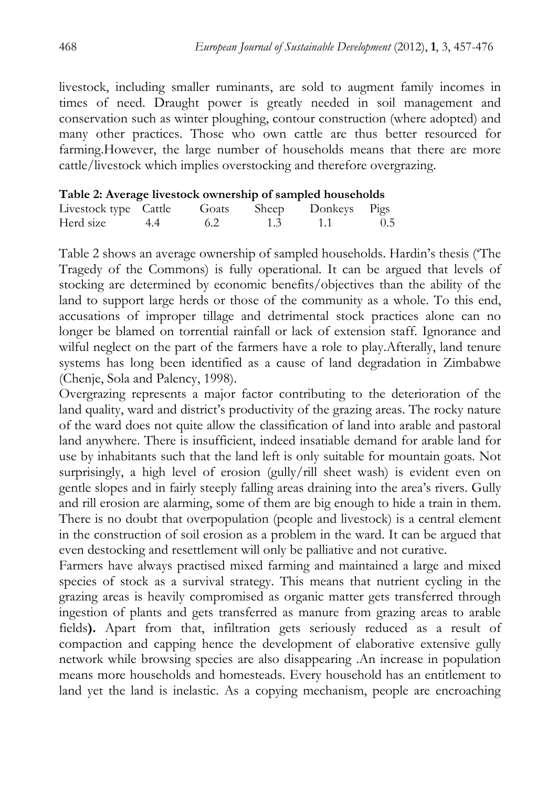livestock, including smaller ruminants, are sold to augment family incomes in times of need. Draught power is greatly needed in soil management and conservation such as winter ploughing, contour construction (where adopted) and many other practices. Those who own cattle are thus better resourced for farming.However, the large number of households means that there are more cattle/livestock which implies overstocking and therefore overgrazing.

|  |  |  | Table 2: Average livestock ownership of sampled households |
|--|--|--|------------------------------------------------------------|
|  |  |  |                                                            |

| Livestock type Cattle |     |     | Goats Sheep Donkeys Pigs |     |
|-----------------------|-----|-----|--------------------------|-----|
| Herd size 4.4         | 6.2 | 1.3 | $\sim$ 1.1 $\sim$        | 0.5 |

Table 2 shows an average ownership of sampled households. Hardin's thesis ('The Tragedy of the Commons) is fully operational. It can be argued that levels of stocking are determined by economic benefits/objectives than the ability of the land to support large herds or those of the community as a whole. To this end, accusations of improper tillage and detrimental stock practices alone can no longer be blamed on torrential rainfall or lack of extension staff. Ignorance and wilful neglect on the part of the farmers have a role to play.Afterally, land tenure systems has long been identified as a cause of land degradation in Zimbabwe (Chenje, Sola and Palency, 1998).

Overgrazing represents a major factor contributing to the deterioration of the land quality, ward and district's productivity of the grazing areas. The rocky nature of the ward does not quite allow the classification of land into arable and pastoral land anywhere. There is insufficient, indeed insatiable demand for arable land for use by inhabitants such that the land left is only suitable for mountain goats. Not surprisingly, a high level of erosion (gully/rill sheet wash) is evident even on gentle slopes and in fairly steeply falling areas draining into the area's rivers. Gully and rill erosion are alarming, some of them are big enough to hide a train in them. There is no doubt that overpopulation (people and livestock) is a central element in the construction of soil erosion as a problem in the ward. It can be argued that even destocking and resettlement will only be palliative and not curative.

Farmers have always practised mixed farming and maintained a large and mixed species of stock as a survival strategy. This means that nutrient cycling in the grazing areas is heavily compromised as organic matter gets transferred through ingestion of plants and gets transferred as manure from grazing areas to arable fields**).** Apart from that, infiltration gets seriously reduced as a result of compaction and capping hence the development of elaborative extensive gully network while browsing species are also disappearing .An increase in population means more households and homesteads. Every household has an entitlement to land yet the land is inelastic. As a copying mechanism, people are encroaching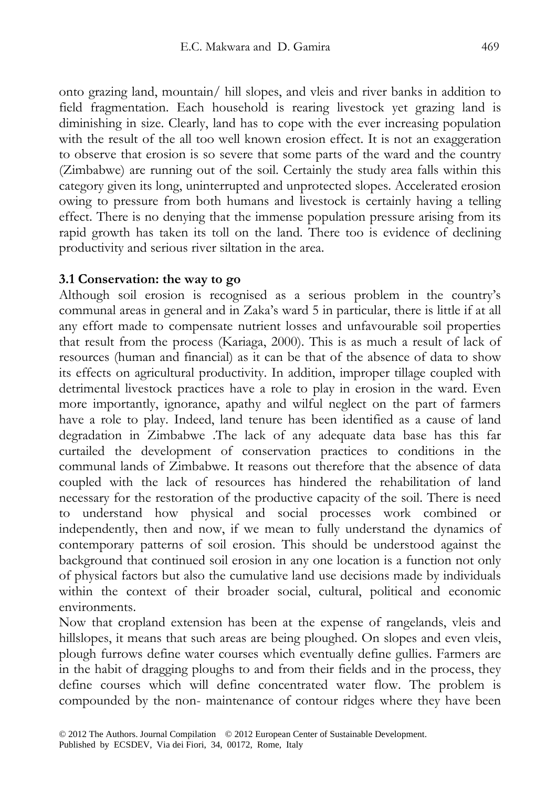onto grazing land, mountain/ hill slopes, and vleis and river banks in addition to field fragmentation. Each household is rearing livestock yet grazing land is diminishing in size. Clearly, land has to cope with the ever increasing population with the result of the all too well known erosion effect. It is not an exaggeration to observe that erosion is so severe that some parts of the ward and the country (Zimbabwe) are running out of the soil. Certainly the study area falls within this category given its long, uninterrupted and unprotected slopes. Accelerated erosion owing to pressure from both humans and livestock is certainly having a telling effect. There is no denying that the immense population pressure arising from its rapid growth has taken its toll on the land. There too is evidence of declining productivity and serious river siltation in the area.

#### **3.1 Conservation: the way to go**

Although soil erosion is recognised as a serious problem in the country's communal areas in general and in Zaka's ward 5 in particular, there is little if at all any effort made to compensate nutrient losses and unfavourable soil properties that result from the process (Kariaga, 2000). This is as much a result of lack of resources (human and financial) as it can be that of the absence of data to show its effects on agricultural productivity. In addition, improper tillage coupled with detrimental livestock practices have a role to play in erosion in the ward. Even more importantly, ignorance, apathy and wilful neglect on the part of farmers have a role to play. Indeed, land tenure has been identified as a cause of land degradation in Zimbabwe .The lack of any adequate data base has this far curtailed the development of conservation practices to conditions in the communal lands of Zimbabwe. It reasons out therefore that the absence of data coupled with the lack of resources has hindered the rehabilitation of land necessary for the restoration of the productive capacity of the soil. There is need to understand how physical and social processes work combined or independently, then and now, if we mean to fully understand the dynamics of contemporary patterns of soil erosion. This should be understood against the background that continued soil erosion in any one location is a function not only of physical factors but also the cumulative land use decisions made by individuals within the context of their broader social, cultural, political and economic environments.

Now that cropland extension has been at the expense of rangelands, vleis and hillslopes, it means that such areas are being ploughed. On slopes and even vleis, plough furrows define water courses which eventually define gullies. Farmers are in the habit of dragging ploughs to and from their fields and in the process, they define courses which will define concentrated water flow. The problem is compounded by the non- maintenance of contour ridges where they have been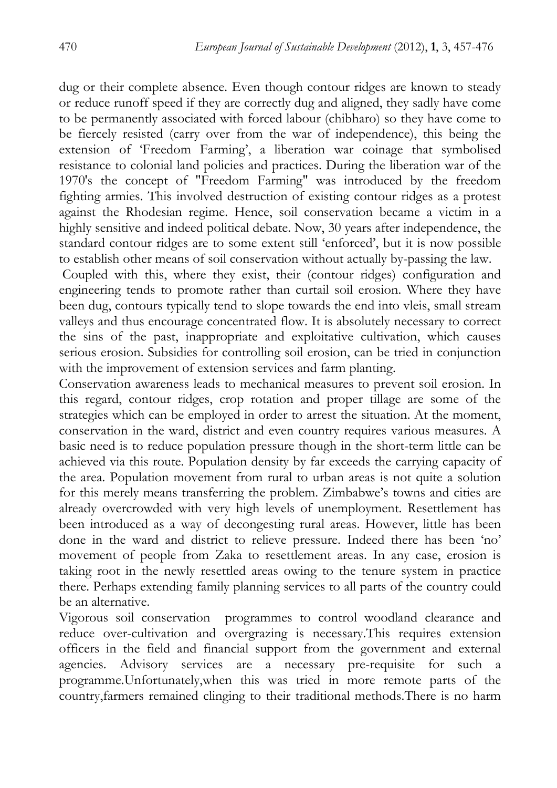dug or their complete absence. Even though contour ridges are known to steady or reduce runoff speed if they are correctly dug and aligned, they sadly have come to be permanently associated with forced labour (chibharo) so they have come to be fiercely resisted (carry over from the war of independence), this being the extension of 'Freedom Farming', a liberation war coinage that symbolised resistance to colonial land policies and practices. During the liberation war of the 1970's the concept of "Freedom Farming" was introduced by the freedom fighting armies. This involved destruction of existing contour ridges as a protest against the Rhodesian regime. Hence, soil conservation became a victim in a highly sensitive and indeed political debate. Now, 30 years after independence, the standard contour ridges are to some extent still 'enforced', but it is now possible to establish other means of soil conservation without actually by-passing the law.

 Coupled with this, where they exist, their (contour ridges) configuration and engineering tends to promote rather than curtail soil erosion. Where they have been dug, contours typically tend to slope towards the end into vleis, small stream valleys and thus encourage concentrated flow. It is absolutely necessary to correct the sins of the past, inappropriate and exploitative cultivation, which causes serious erosion. Subsidies for controlling soil erosion, can be tried in conjunction with the improvement of extension services and farm planting.

Conservation awareness leads to mechanical measures to prevent soil erosion. In this regard, contour ridges, crop rotation and proper tillage are some of the strategies which can be employed in order to arrest the situation. At the moment, conservation in the ward, district and even country requires various measures. A basic need is to reduce population pressure though in the short-term little can be achieved via this route. Population density by far exceeds the carrying capacity of the area. Population movement from rural to urban areas is not quite a solution for this merely means transferring the problem. Zimbabwe's towns and cities are already overcrowded with very high levels of unemployment. Resettlement has been introduced as a way of decongesting rural areas. However, little has been done in the ward and district to relieve pressure. Indeed there has been 'no' movement of people from Zaka to resettlement areas. In any case, erosion is taking root in the newly resettled areas owing to the tenure system in practice there. Perhaps extending family planning services to all parts of the country could be an alternative.

Vigorous soil conservation programmes to control woodland clearance and reduce over-cultivation and overgrazing is necessary.This requires extension officers in the field and financial support from the government and external agencies. Advisory services are a necessary pre-requisite for such a programme.Unfortunately,when this was tried in more remote parts of the country,farmers remained clinging to their traditional methods.There is no harm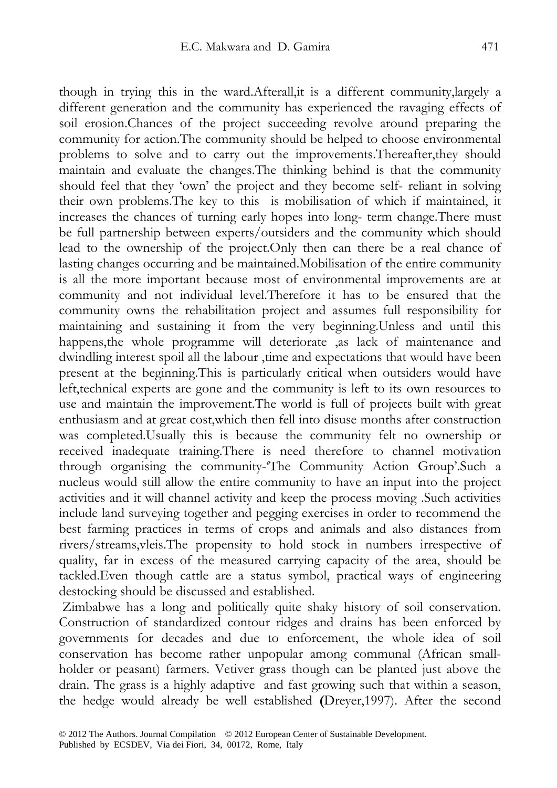though in trying this in the ward.Afterall,it is a different community,largely a different generation and the community has experienced the ravaging effects of soil erosion.Chances of the project succeeding revolve around preparing the community for action.The community should be helped to choose environmental problems to solve and to carry out the improvements.Thereafter,they should maintain and evaluate the changes.The thinking behind is that the community should feel that they 'own' the project and they become self- reliant in solving their own problems.The key to this is mobilisation of which if maintained, it increases the chances of turning early hopes into long- term change.There must be full partnership between experts/outsiders and the community which should lead to the ownership of the project.Only then can there be a real chance of lasting changes occurring and be maintained.Mobilisation of the entire community is all the more important because most of environmental improvements are at community and not individual level.Therefore it has to be ensured that the community owns the rehabilitation project and assumes full responsibility for maintaining and sustaining it from the very beginning.Unless and until this happens,the whole programme will deteriorate ,as lack of maintenance and dwindling interest spoil all the labour ,time and expectations that would have been present at the beginning.This is particularly critical when outsiders would have left,technical experts are gone and the community is left to its own resources to use and maintain the improvement.The world is full of projects built with great enthusiasm and at great cost,which then fell into disuse months after construction was completed.Usually this is because the community felt no ownership or received inadequate training.There is need therefore to channel motivation through organising the community-'The Community Action Group'.Such a nucleus would still allow the entire community to have an input into the project activities and it will channel activity and keep the process moving .Such activities include land surveying together and pegging exercises in order to recommend the best farming practices in terms of crops and animals and also distances from rivers/streams,vleis.The propensity to hold stock in numbers irrespective of quality, far in excess of the measured carrying capacity of the area, should be tackled.Even though cattle are a status symbol, practical ways of engineering destocking should be discussed and established.

 Zimbabwe has a long and politically quite shaky history of soil conservation. Construction of standardized contour ridges and drains has been enforced by governments for decades and due to enforcement, the whole idea of soil conservation has become rather unpopular among communal (African smallholder or peasant) farmers. Vetiver grass though can be planted just above the drain. The grass is a highly adaptive and fast growing such that within a season, the hedge would already be well established **(**Dreyer,1997). After the second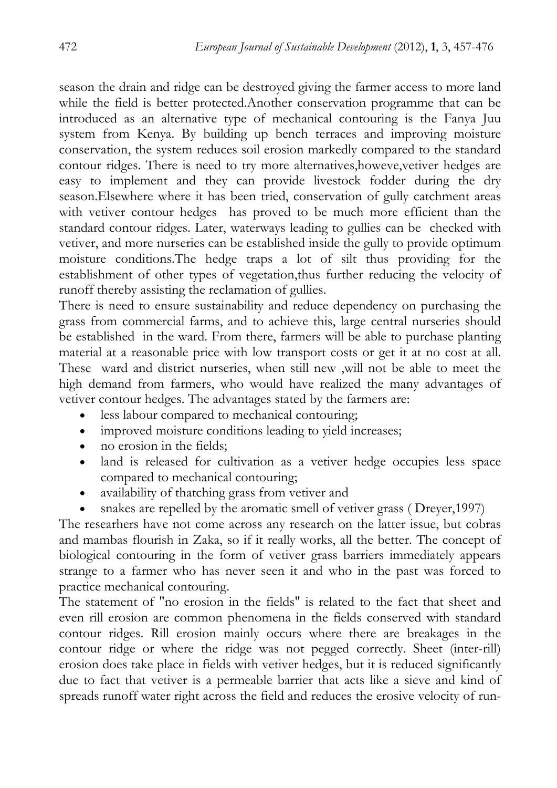season the drain and ridge can be destroyed giving the farmer access to more land while the field is better protected.Another conservation programme that can be introduced as an alternative type of mechanical contouring is the Fanya Juu system from Kenya. By building up bench terraces and improving moisture conservation, the system reduces soil erosion markedly compared to the standard contour ridges. There is need to try more alternatives,howeve,vetiver hedges are easy to implement and they can provide livestock fodder during the dry season.Elsewhere where it has been tried, conservation of gully catchment areas with vetiver contour hedges has proved to be much more efficient than the standard contour ridges. Later, waterways leading to gullies can be checked with vetiver, and more nurseries can be established inside the gully to provide optimum moisture conditions.The hedge traps a lot of silt thus providing for the establishment of other types of vegetation,thus further reducing the velocity of runoff thereby assisting the reclamation of gullies.

There is need to ensure sustainability and reduce dependency on purchasing the grass from commercial farms, and to achieve this, large central nurseries should be established in the ward. From there, farmers will be able to purchase planting material at a reasonable price with low transport costs or get it at no cost at all. These ward and district nurseries, when still new ,will not be able to meet the high demand from farmers, who would have realized the many advantages of vetiver contour hedges. The advantages stated by the farmers are:

- less labour compared to mechanical contouring;
- improved moisture conditions leading to yield increases;
- no erosion in the fields:
- land is released for cultivation as a vetiver hedge occupies less space compared to mechanical contouring;
- availability of thatching grass from vetiver and
- snakes are repelled by the aromatic smell of vetiver grass (Dreyer, 1997)

The researhers have not come across any research on the latter issue, but cobras and mambas flourish in Zaka, so if it really works, all the better. The concept of biological contouring in the form of vetiver grass barriers immediately appears strange to a farmer who has never seen it and who in the past was forced to practice mechanical contouring.

The statement of "no erosion in the fields" is related to the fact that sheet and even rill erosion are common phenomena in the fields conserved with standard contour ridges. Rill erosion mainly occurs where there are breakages in the contour ridge or where the ridge was not pegged correctly. Sheet (inter-rill) erosion does take place in fields with vetiver hedges, but it is reduced significantly due to fact that vetiver is a permeable barrier that acts like a sieve and kind of spreads runoff water right across the field and reduces the erosive velocity of run-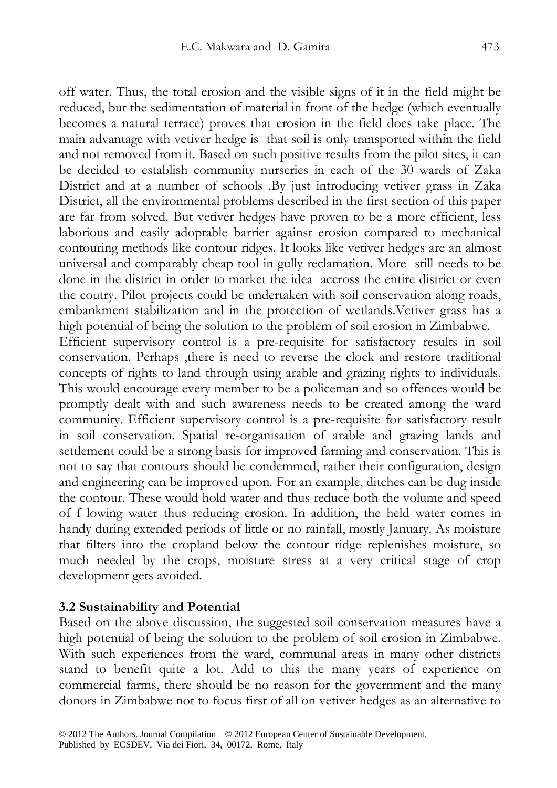off water. Thus, the total erosion and the visible signs of it in the field might be reduced, but the sedimentation of material in front of the hedge (which eventually becomes a natural terrace) proves that erosion in the field does take place. The main advantage with vetiver hedge is that soil is only transported within the field and not removed from it. Based on such positive results from the pilot sites, it can be decided to establish community nurseries in each of the 30 wards of Zaka District and at a number of schools .By just introducing vetiver grass in Zaka District, all the environmental problems described in the first section of this paper are far from solved. But vetiver hedges have proven to be a more efficient, less laborious and easily adoptable barrier against erosion compared to mechanical contouring methods like contour ridges. It looks like vetiver hedges are an almost universal and comparably cheap tool in gully reclamation. More still needs to be done in the district in order to market the idea accross the entire district or even the coutry. Pilot projects could be undertaken with soil conservation along roads, embankment stabilization and in the protection of wetlands.Vetiver grass has a high potential of being the solution to the problem of soil erosion in Zimbabwe. Efficient supervisory control is a pre-requisite for satisfactory results in soil conservation. Perhaps ,there is need to reverse the clock and restore traditional concepts of rights to land through using arable and grazing rights to individuals. This would encourage every member to be a policeman and so offences would be promptly dealt with and such awareness needs to be created among the ward community. Efficient supervisory control is a pre-requisite for satisfactory result in soil conservation. Spatial re-organisation of arable and grazing lands and settlement could be a strong basis for improved farming and conservation. This is not to say that contours should be condemmed, rather their configuration, design and engineering can be improved upon. For an example, ditches can be dug inside the contour. These would hold water and thus reduce both the volume and speed of f lowing water thus reducing erosion. In addition, the held water comes in handy during extended periods of little or no rainfall, mostly January. As moisture that filters into the cropland below the contour ridge replenishes moisture, so much needed by the crops, moisture stress at a very critical stage of crop development gets avoided.

#### **3.2 Sustainability and Potential**

Based on the above discussion, the suggested soil conservation measures have a high potential of being the solution to the problem of soil erosion in Zimbabwe. With such experiences from the ward, communal areas in many other districts stand to benefit quite a lot. Add to this the many years of experience on commercial farms, there should be no reason for the government and the many donors in Zimbabwe not to focus first of all on vetiver hedges as an alternative to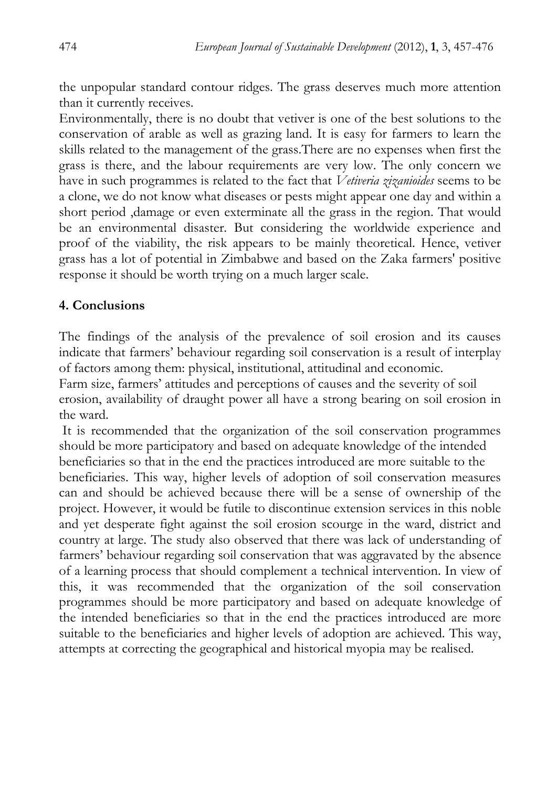the unpopular standard contour ridges. The grass deserves much more attention than it currently receives.

Environmentally, there is no doubt that vetiver is one of the best solutions to the conservation of arable as well as grazing land. It is easy for farmers to learn the skills related to the management of the grass.There are no expenses when first the grass is there, and the labour requirements are very low. The only concern we have in such programmes is related to the fact that *Vetiveria zizanioides* seems to be a clone, we do not know what diseases or pests might appear one day and within a short period ,damage or even exterminate all the grass in the region. That would be an environmental disaster. But considering the worldwide experience and proof of the viability, the risk appears to be mainly theoretical. Hence, vetiver grass has a lot of potential in Zimbabwe and based on the Zaka farmers' positive response it should be worth trying on a much larger scale.

### **4. Conclusions**

The findings of the analysis of the prevalence of soil erosion and its causes indicate that farmers' behaviour regarding soil conservation is a result of interplay of factors among them: physical, institutional, attitudinal and economic.

Farm size, farmers' attitudes and perceptions of causes and the severity of soil erosion, availability of draught power all have a strong bearing on soil erosion in the ward.

 It is recommended that the organization of the soil conservation programmes should be more participatory and based on adequate knowledge of the intended beneficiaries so that in the end the practices introduced are more suitable to the beneficiaries. This way, higher levels of adoption of soil conservation measures can and should be achieved because there will be a sense of ownership of the project. However, it would be futile to discontinue extension services in this noble and yet desperate fight against the soil erosion scourge in the ward, district and country at large. The study also observed that there was lack of understanding of farmers' behaviour regarding soil conservation that was aggravated by the absence of a learning process that should complement a technical intervention. In view of this, it was recommended that the organization of the soil conservation programmes should be more participatory and based on adequate knowledge of the intended beneficiaries so that in the end the practices introduced are more suitable to the beneficiaries and higher levels of adoption are achieved. This way, attempts at correcting the geographical and historical myopia may be realised.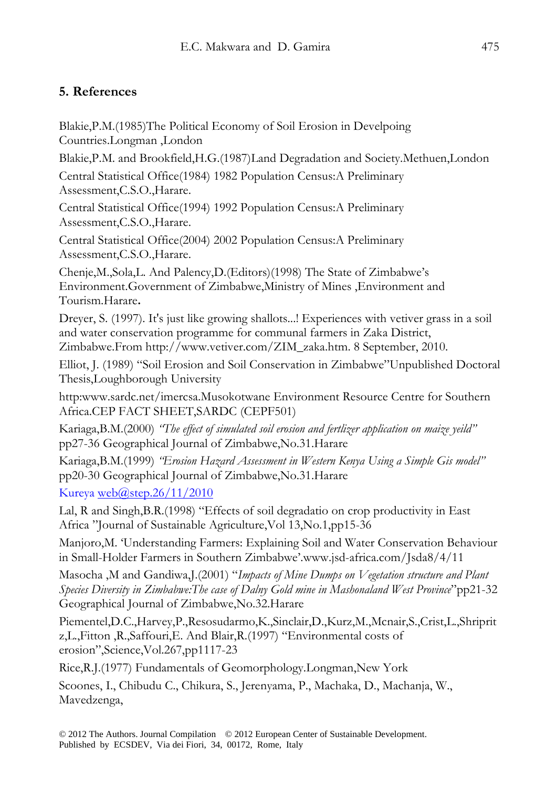# **5. References**

Blakie,P.M.(1985)The Political Economy of Soil Erosion in Develpoing Countries.Longman ,London

Blakie,P.M. and Brookfield,H.G.(1987)Land Degradation and Society.Methuen,London

Central Statistical Office(1984) 1982 Population Census:A Preliminary Assessment,C.S.O.,Harare.

Central Statistical Office(1994) 1992 Population Census:A Preliminary Assessment,C.S.O.,Harare.

Central Statistical Office(2004) 2002 Population Census:A Preliminary Assessment,C.S.O.,Harare.

Chenje,M.,Sola,L. And Palency,D.(Editors)(1998) The State of Zimbabwe's Environment.Government of Zimbabwe,Ministry of Mines ,Environment and Tourism.Harare**.** 

Dreyer, S. (1997). It's just like growing shallots...! Experiences with vetiver grass in a soil and water conservation programme for communal farmers in Zaka District, Zimbabwe.From http://www.vetiver.com/ZIM\_zaka.htm. 8 September, 2010.

Elliot, J. (1989) "Soil Erosion and Soil Conservation in Zimbabwe"Unpublished Doctoral Thesis,Loughborough University

http:www.sardc.net/imercsa.Musokotwane Environment Resource Centre for Southern Africa.CEP FACT SHEET,SARDC (CEPF501)

Kariaga,B.M.(2000) *"The effect of simulated soil erosion and fertlizer application on maize yeild"*  pp27-36 Geographical Journal of Zimbabwe,No.31.Harare

Kariaga,B.M.(1999) *"Erosion Hazard Assessment in Western Kenya Using a Simple Gis model"*  pp20-30 Geographical Journal of Zimbabwe,No.31.Harare

Kureya web $\omega$ step.26/11/2010

Lal, R and Singh,B.R.(1998) "Effects of soil degradatio on crop productivity in East Africa "Journal of Sustainable Agriculture,Vol 13,No.1,pp15-36

Manjoro,M. 'Understanding Farmers: Explaining Soil and Water Conservation Behaviour in Small-Holder Farmers in Southern Zimbabwe'.www.jsd-africa.com/Jsda8/4/11

Masocha ,M and Gandiwa,J.(2001) "*Impacts of Mine Dumps on Vegetation structure and Plant Species Diversity in Zimbabwe:The case of Dalny Gold mine in Mashonaland West Province*"pp21-32 Geographical Journal of Zimbabwe,No.32.Harare

Piementel,D.C.,Harvey,P.,Resosudarmo,K.,Sinclair,D.,Kurz,M.,Mcnair,S.,Crist,L.,Shriprit z,L.,Fitton ,R.,Saffouri,E. And Blair,R.(1997) "Environmental costs of erosion",Science,Vol.267,pp1117-23

Rice,R.J.(1977) Fundamentals of Geomorphology.Longman,New York

Scoones, I., Chibudu C., Chikura, S., Jerenyama, P., Machaka, D., Machanja, W., Mavedzenga,